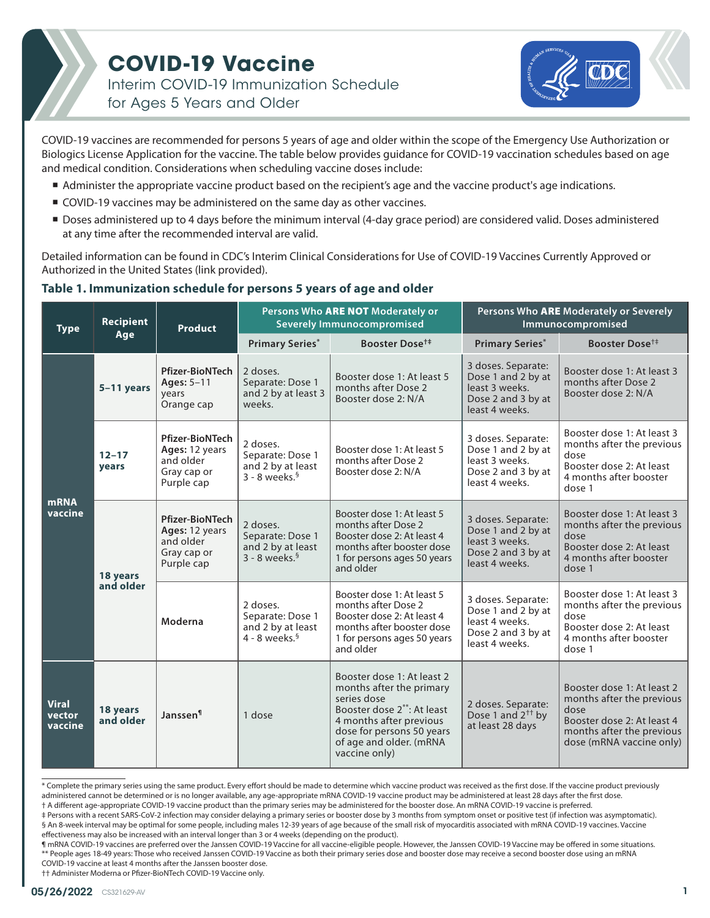## **COVID-19 Vaccine**

Interim COVID-19 Immunization Schedule for Ages 5 Years and Older



COVID-19 vaccines are recommended for persons 5 years of age and older within the scope of the Emergency Use Authorization or Biologics License Application for the vaccine. The table below provides guidance for COVID-19 vaccination schedules based on age and medical condition. Considerations when scheduling vaccine doses include:

- Administer the appropriate vaccine product based on the recipient's age and the vaccine product's age indications.
- COVID-19 vaccines may be administered on the same day as other vaccines.
- Doses administered up to 4 days before the minimum interval (4-day grace period) are considered valid. Doses administered at any time after the recommended interval are valid.

Detailed information can be found in CDC's Interim Clinical Considerations for Use of COVID-19 Vaccines Currently Approved or Authorized in the United States (link provided).

### **Table 1. Immunization schedule for persons 5 years of age and older**

| <b>Type</b>                       | <b>Recipient</b><br>Age | <b>Product</b>                                                                     | Persons Who ARE NOT Moderately or<br><b>Severely Immunocompromised</b>           |                                                                                                                                                                                                                      | Persons Who ARE Moderately or Severely<br>Immunocompromised                                        |                                                                                                                                                        |
|-----------------------------------|-------------------------|------------------------------------------------------------------------------------|----------------------------------------------------------------------------------|----------------------------------------------------------------------------------------------------------------------------------------------------------------------------------------------------------------------|----------------------------------------------------------------------------------------------------|--------------------------------------------------------------------------------------------------------------------------------------------------------|
|                                   |                         |                                                                                    | <b>Primary Series*</b>                                                           | Booster Dose <sup>t#</sup>                                                                                                                                                                                           | <b>Primary Series*</b>                                                                             | Booster Dose <sup>†</sup>                                                                                                                              |
| <b>mRNA</b><br>vaccine            | 5-11 years              | <b>Pfizer-BioNTech</b><br>Ages: 5-11<br>years<br>Orange cap                        | 2 doses.<br>Separate: Dose 1<br>and 2 by at least 3<br>weeks.                    | Booster dose 1: At least 5<br>months after Dose 2<br>Booster dose 2: N/A                                                                                                                                             | 3 doses. Separate:<br>Dose 1 and 2 by at<br>least 3 weeks.<br>Dose 2 and 3 by at<br>least 4 weeks. | Booster dose 1: At least 3<br>months after Dose 2<br>Booster dose 2: N/A                                                                               |
|                                   | $12 - 17$<br>years      | <b>Pfizer-BioNTech</b><br>Ages: 12 years<br>and older<br>Gray cap or<br>Purple cap | 2 doses.<br>Separate: Dose 1<br>and 2 by at least<br>$3 - 8$ weeks. <sup>§</sup> | Booster dose 1: At least 5<br>months after Dose 2<br>Booster dose 2: N/A                                                                                                                                             | 3 doses. Separate:<br>Dose 1 and 2 by at<br>least 3 weeks.<br>Dose 2 and 3 by at<br>least 4 weeks. | Booster dose 1: At least 3<br>months after the previous<br>dose<br>Booster dose 2: At least<br>4 months after booster<br>dose 1                        |
|                                   | 18 years<br>and older   | <b>Pfizer-BioNTech</b><br>Ages: 12 years<br>and older<br>Gray cap or<br>Purple cap | 2 doses.<br>Separate: Dose 1<br>and 2 by at least<br>$3 - 8$ weeks. <sup>§</sup> | Booster dose 1: At least 5<br>months after Dose 2<br>Booster dose 2: At least 4<br>months after booster dose<br>1 for persons ages 50 years<br>and older                                                             | 3 doses. Separate:<br>Dose 1 and 2 by at<br>least 3 weeks.<br>Dose 2 and 3 by at<br>least 4 weeks. | Booster dose 1: At least 3<br>months after the previous<br>dose<br>Booster dose 2: At least<br>4 months after booster<br>dose 1                        |
|                                   |                         | Moderna                                                                            | 2 doses.<br>Separate: Dose 1<br>and 2 by at least<br>$4 - 8$ weeks. <sup>§</sup> | Booster dose 1: At least 5<br>months after Dose 2<br>Booster dose 2: At least 4<br>months after booster dose<br>1 for persons ages 50 years<br>and older                                                             | 3 doses. Separate:<br>Dose 1 and 2 by at<br>least 4 weeks.<br>Dose 2 and 3 by at<br>least 4 weeks. | Booster dose 1: At least 3<br>months after the previous<br>dose<br>Booster dose 2: At least<br>4 months after booster<br>dose 1                        |
| <b>Viral</b><br>vector<br>vaccine | 18 years<br>and older   | Janssen <sup>1</sup>                                                               | 1 dose                                                                           | Booster dose 1: At least 2<br>months after the primary<br>series dose<br>Booster dose 2 <sup>**</sup> : At least<br>4 months after previous<br>dose for persons 50 years<br>of age and older. (mRNA<br>vaccine only) | 2 doses. Separate:<br>Dose 1 and $2^{++}$ by<br>at least 28 days                                   | Booster dose 1: At least 2<br>months after the previous<br>dose<br>Booster dose 2: At least 4<br>months after the previous<br>dose (mRNA vaccine only) |

\* Complete the primary series using the same product. Every effort should be made to determine which vaccine product was received as the first dose. If the vaccine product previously administered cannot be determined or is no longer available, any age-appropriate mRNA COVID-19 vaccine product may be administered at least 28 days after the first dose.

† A different age-appropriate COVID-19 vaccine product than the primary series may be administered for the booster dose. An mRNA COVID-19 vaccine is preferred.

‡ Persons with a recent SARS-CoV-2 infection may consider delaying a primary series or booster dose by 3 months from symptom onset or positive test (if infection was asymptomatic). § An 8-week interval may be optimal for some people, including males 12-39 years of age because of the small risk of myocarditis associated with mRNA COVID-19 vaccines. Vaccine effectiveness may also be increased with an interval longer than 3 or 4 weeks (depending on the product).

¶ mRNA COVID-19 vaccines are preferred over the Janssen COVID-19 Vaccine for all vaccine-eligible people. However, the Janssen COVID-19 Vaccine may be offered in some situations. \*\* People ages 18-49 years: Those who received Janssen COVID-19 Vaccine as both their primary series dose and booster dose may receive a second booster dose using an mRNA COVID-19 vaccine at least 4 months after the Janssen booster dose.

†† Administer Moderna or Pfizer-BioNTech COVID-19 Vaccine only.